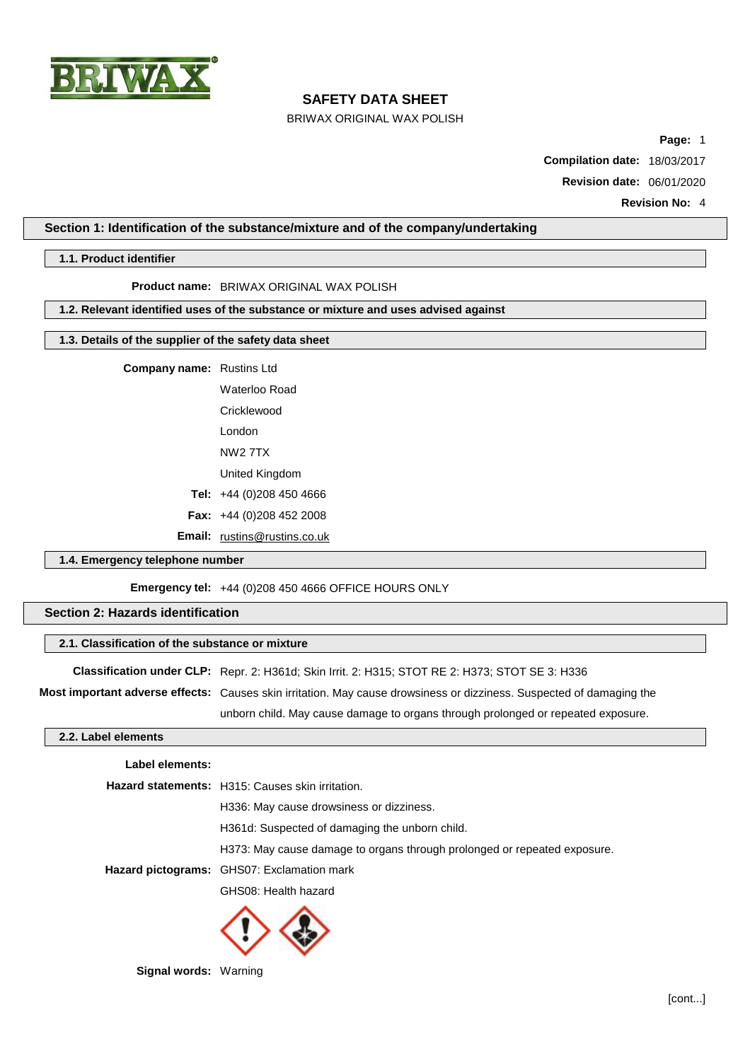

BRIWAX ORIGINAL WAX POLISH

**Page:** 1

**Compilation date:** 18/03/2017

**Revision date:** 06/01/2020

**Revision No:** 4

### **Section 1: Identification of the substance/mixture and of the company/undertaking**

#### **1.1. Product identifier**

**Product name:** BRIWAX ORIGINAL WAX POLISH

#### **1.2. Relevant identified uses of the substance or mixture and uses advised against**

### **1.3. Details of the supplier of the safety data sheet**

**Company name:** Rustins Ltd

Waterloo Road Cricklewood London NW2 7TX

United Kingdom

- **Tel:** +44 (0)208 450 4666
- **Fax:** +44 (0)208 452 2008

**Email:** [rustins@rustins.co.uk](mailto:rustins@rustins.co.uk)

### **1.4. Emergency telephone number**

**Emergency tel:** +44 (0)208 450 4666 OFFICE HOURS ONLY

### **Section 2: Hazards identification**

### **2.1. Classification of the substance or mixture**

**Classification under CLP:** Repr. 2: H361d; Skin Irrit. 2: H315; STOT RE 2: H373; STOT SE 3: H336

**Most important adverse effects:** Causes skin irritation. May cause drowsiness or dizziness. Suspected of damaging the

unborn child. May cause damage to organs through prolonged or repeated exposure.

### **2.2. Label elements**

# **Label elements: Hazard statements:** H315: Causes skin irritation. H336: May cause drowsiness or dizziness. H361d: Suspected of damaging the unborn child. H373: May cause damage to organs through prolonged or repeated exposure. **Hazard pictograms:** GHS07: Exclamation mark GHS08: Health hazard



**Signal words:** Warning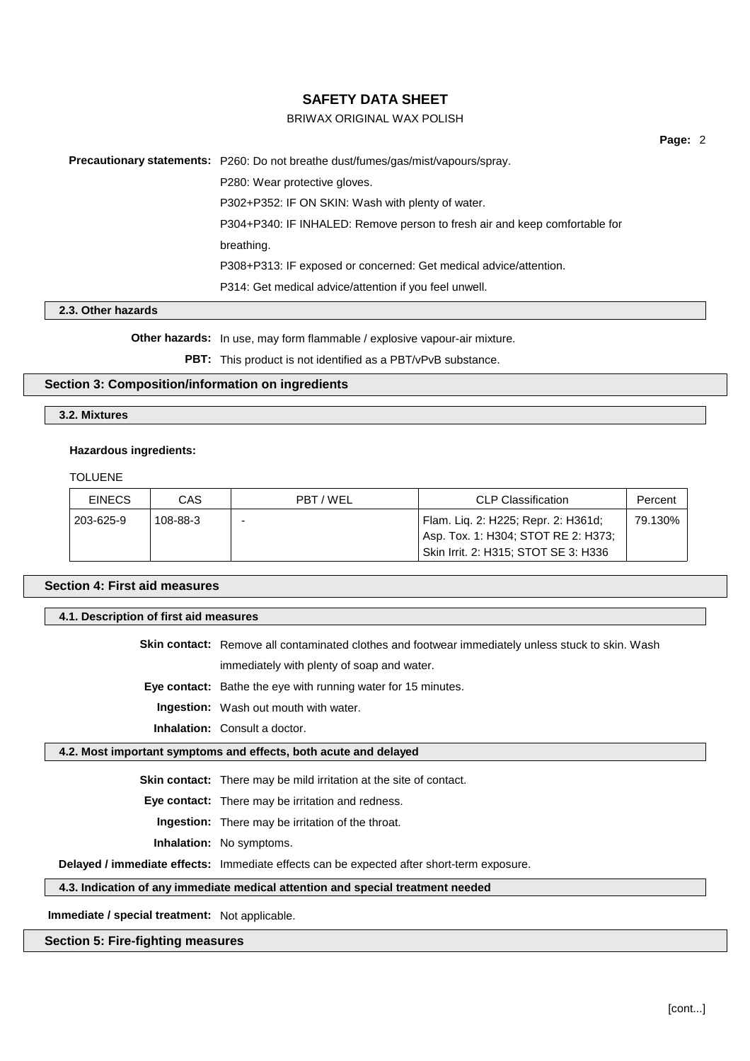### BRIWAX ORIGINAL WAX POLISH

**Page:** 2

|                  | <b>Precautionary statements:</b> P260: Do not breathe dust/fumes/gas/mist/vapours/spray. |  |
|------------------|------------------------------------------------------------------------------------------|--|
|                  | P280: Wear protective gloves.                                                            |  |
|                  | P302+P352: IF ON SKIN: Wash with plenty of water.                                        |  |
|                  | P304+P340: IF INHALED: Remove person to fresh air and keep comfortable for               |  |
|                  | breathing.                                                                               |  |
|                  | P308+P313: IF exposed or concerned: Get medical advice/attention.                        |  |
|                  | P314: Get medical advice/attention if you feel unwell.                                   |  |
| 2. Other hozarde |                                                                                          |  |

# **2.3. Other hazards**

**Other hazards:** In use, may form flammable / explosive vapour-air mixture.

PBT: This product is not identified as a PBT/vPvB substance.

#### **Section 3: Composition/information on ingredients**

#### **3.2. Mixtures**

#### **Hazardous ingredients:**

TOLUENE

| <b>EINECS</b> | CAS      | <b>CLP Classification</b><br>PBT/WEL |                                                                            | Percent |
|---------------|----------|--------------------------------------|----------------------------------------------------------------------------|---------|
| 203-625-9     | 108-88-3 |                                      | Flam. Lig. 2: H225; Repr. 2: H361d;<br>Asp. Tox. 1: H304; STOT RE 2: H373; | 79.130% |
|               |          |                                      | Skin Irrit. 2: H315; STOT SE 3: H336                                       |         |

|  |  | <b>Section 4: First aid measures</b> |  |
|--|--|--------------------------------------|--|
|--|--|--------------------------------------|--|

| 4.1. Description of first aid measures |                                                                                                          |  |
|----------------------------------------|----------------------------------------------------------------------------------------------------------|--|
|                                        | <b>Skin contact:</b> Remove all contaminated clothes and footwear immediately unless stuck to skin. Wash |  |
|                                        | immediately with plenty of soap and water.                                                               |  |

**Eye contact:** Bathe the eye with running water for 15 minutes.

**Ingestion:** Wash out mouth with water.

**Inhalation:** Consult a doctor.

#### **4.2. Most important symptoms and effects, both acute and delayed**

**Skin contact:** There may be mild irritation at the site of contact.

**Eye contact:** There may be irritation and redness.

**Ingestion:** There may be irritation of the throat.

**Inhalation:** No symptoms.

**Delayed / immediate effects:** Immediate effects can be expected after short-term exposure.

### **4.3. Indication of any immediate medical attention and special treatment needed**

**Immediate / special treatment:** Not applicable.

### **Section 5: Fire-fighting measures**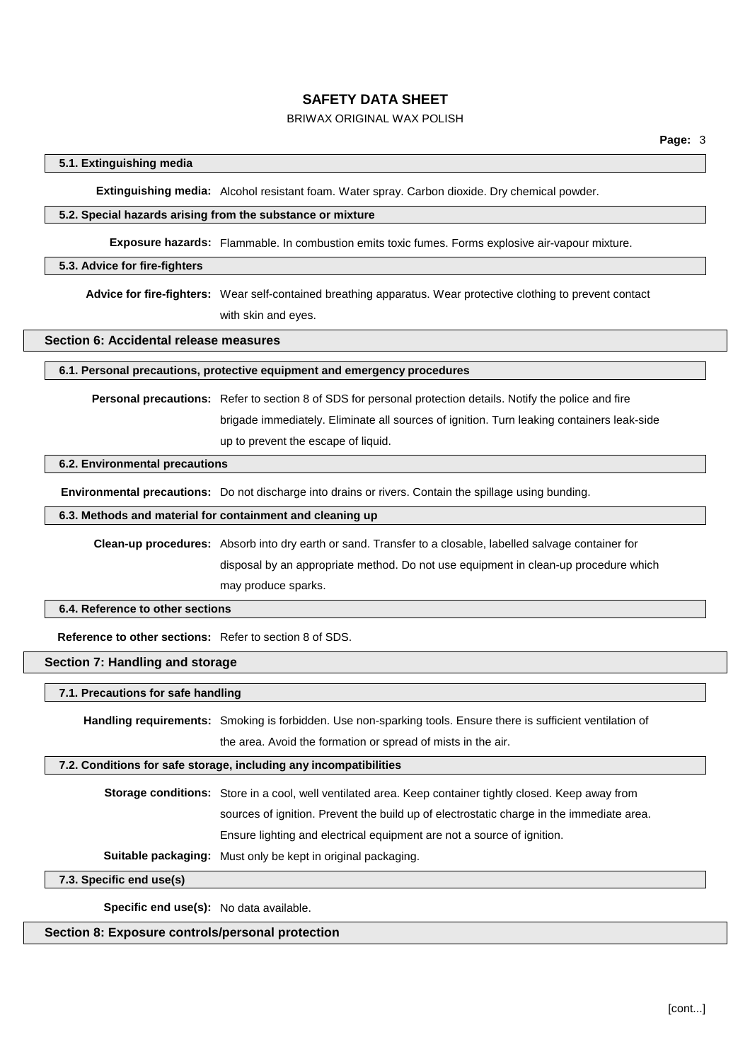### BRIWAX ORIGINAL WAX POLISH

### **5.1. Extinguishing media**

**Extinguishing media:** Alcohol resistant foam. Water spray. Carbon dioxide. Dry chemical powder.

#### **5.2. Special hazards arising from the substance or mixture**

**Exposure hazards:** Flammable. In combustion emits toxic fumes. Forms explosive air-vapour mixture.

#### **5.3. Advice for fire-fighters**

**Advice for fire-fighters:** Wear self-contained breathing apparatus. Wear protective clothing to prevent contact with skin and eyes.

### **Section 6: Accidental release measures**

#### **6.1. Personal precautions, protective equipment and emergency procedures**

**Personal precautions:** Refer to section 8 of SDS for personal protection details. Notify the police and fire

brigade immediately. Eliminate all sources of ignition. Turn leaking containers leak-side up to prevent the escape of liquid.

#### **6.2. Environmental precautions**

**Environmental precautions:** Do not discharge into drains or rivers. Contain the spillage using bunding.

#### **6.3. Methods and material for containment and cleaning up**

**Clean-up procedures:** Absorb into dry earth or sand. Transfer to a closable, labelled salvage container for disposal by an appropriate method. Do not use equipment in clean-up procedure which may produce sparks.

#### **6.4. Reference to other sections**

**Reference to other sections:** Refer to section 8 of SDS.

### **Section 7: Handling and storage**

#### **7.1. Precautions for safe handling**

**Handling requirements:** Smoking is forbidden. Use non-sparking tools. Ensure there is sufficient ventilation of the area. Avoid the formation or spread of mists in the air.

#### **7.2. Conditions for safe storage, including any incompatibilities**

**Storage conditions:** Store in a cool, well ventilated area. Keep container tightly closed. Keep away from sources of ignition. Prevent the build up of electrostatic charge in the immediate area. Ensure lighting and electrical equipment are not a source of ignition.

**Suitable packaging:** Must only be kept in original packaging.

**7.3. Specific end use(s)**

**Specific end use(s):** No data available.

### **Section 8: Exposure controls/personal protection**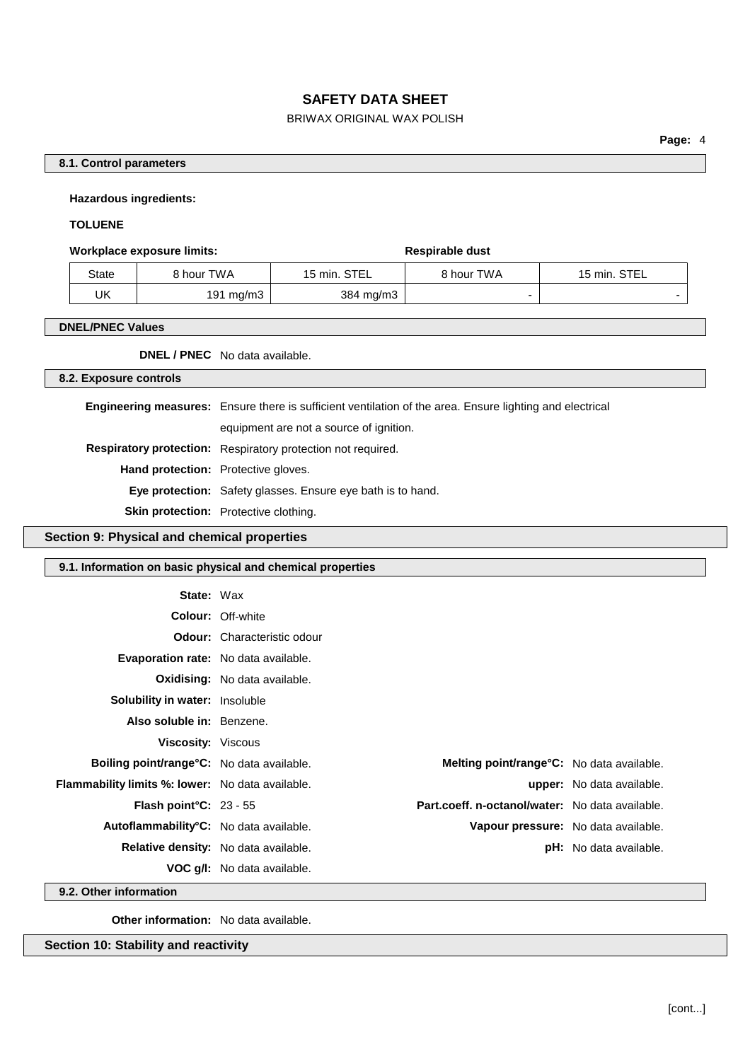### BRIWAX ORIGINAL WAX POLISH

### **8.1. Control parameters**

**Hazardous ingredients:**

#### **TOLUENE**

#### **Workplace** exposure limits: **Respirable** dust

| State | 8 hour TWA | 15 min. STEL | 8 hour TWA | 15 min. STEL |
|-------|------------|--------------|------------|--------------|
| UK    | 191 mg/m3  | 384 mg/m3    |            |              |

### **DNEL/PNEC Values**

**DNEL / PNEC** No data available.

#### **8.2. Exposure controls**

**Engineering measures:** Ensure there is sufficient ventilation of the area. Ensure lighting and electrical equipment are not a source of ignition. **Respiratory protection:** Respiratory protection not required. **Hand protection:** Protective gloves. **Eye protection:** Safety glasses. Ensure eye bath is to hand. **Skin protection:** Protective clothing.

### **Section 9: Physical and chemical properties**

### **9.1. Information on basic physical and chemical properties**

| <b>State: Wax</b>                                       |                                             |                                                        |                                  |
|---------------------------------------------------------|---------------------------------------------|--------------------------------------------------------|----------------------------------|
|                                                         | <b>Colour: Off-white</b>                    |                                                        |                                  |
|                                                         | <b>Odour:</b> Characteristic odour          |                                                        |                                  |
| <b>Evaporation rate:</b> No data available.             |                                             |                                                        |                                  |
|                                                         | <b>Oxidising:</b> No data available.        |                                                        |                                  |
| <b>Solubility in water:</b> Insoluble                   |                                             |                                                        |                                  |
| Also soluble in: Benzene.                               |                                             |                                                        |                                  |
| <b>Viscosity: Viscous</b>                               |                                             |                                                        |                                  |
| <b>Boiling point/range °C:</b> No data available.       |                                             | <b>Melting point/range °C:</b> No data available.      |                                  |
| <b>Flammability limits %: lower:</b> No data available. |                                             |                                                        | <b>upper:</b> No data available. |
| <b>Flash point °C:</b> $23 - 55$                        |                                             | <b>Part.coeff. n-octanol/water:</b> No data available. |                                  |
| Autoflammability°C: No data available.                  |                                             | Vapour pressure: No data available.                    |                                  |
|                                                         | <b>Relative density:</b> No data available. |                                                        | <b>pH:</b> No data available.    |
|                                                         | <b>VOC g/l:</b> No data available.          |                                                        |                                  |

**9.2. Other information**

**Other information:** No data available.

**Section 10: Stability and reactivity**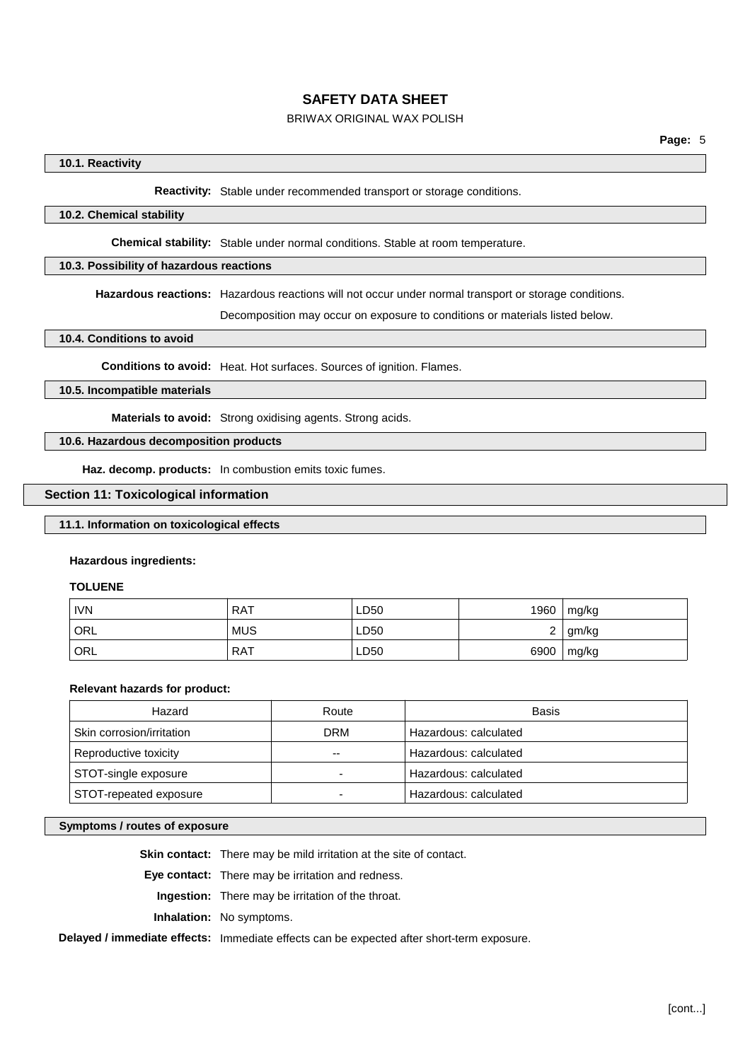### BRIWAX ORIGINAL WAX POLISH

### **10.1. Reactivity**

**Reactivity:** Stable under recommended transport or storage conditions.

### **10.2. Chemical stability**

**Chemical stability:** Stable under normal conditions. Stable at room temperature.

### **10.3. Possibility of hazardous reactions**

**Hazardous reactions:** Hazardous reactions will not occur under normal transport or storage conditions.

Decomposition may occur on exposure to conditions or materials listed below.

### **10.4. Conditions to avoid**

**Conditions to avoid:** Heat. Hot surfaces. Sources of ignition. Flames.

### **10.5. Incompatible materials**

**Materials to avoid:** Strong oxidising agents. Strong acids.

### **10.6. Hazardous decomposition products**

**Haz. decomp. products:** In combustion emits toxic fumes.

### **Section 11: Toxicological information**

### **11.1. Information on toxicological effects**

#### **Hazardous ingredients:**

#### **TOLUENE**

| <b>IVN</b>       | <b>RAT</b> | LD50 | 1960 | mg/kg |
|------------------|------------|------|------|-------|
| <sup>1</sup> ORL | <b>MUS</b> | ∟D50 | _    | gm/kg |
| <sup>'</sup> ORL | . RAT      | LD50 | 6900 | mg/kg |

#### **Relevant hazards for product:**

| Hazard                    | Route      | Basis                 |
|---------------------------|------------|-----------------------|
| Skin corrosion/irritation | <b>DRM</b> | Hazardous: calculated |
| Reproductive toxicity     | --         | Hazardous: calculated |
| STOT-single exposure      |            | Hazardous: calculated |
| STOT-repeated exposure    |            | Hazardous: calculated |

#### **Symptoms / routes of exposure**

**Skin contact:** There may be mild irritation at the site of contact.

**Eye contact:** There may be irritation and redness.

**Ingestion:** There may be irritation of the throat.

**Inhalation:** No symptoms.

### **Delayed / immediate effects:** Immediate effects can be expected after short-term exposure.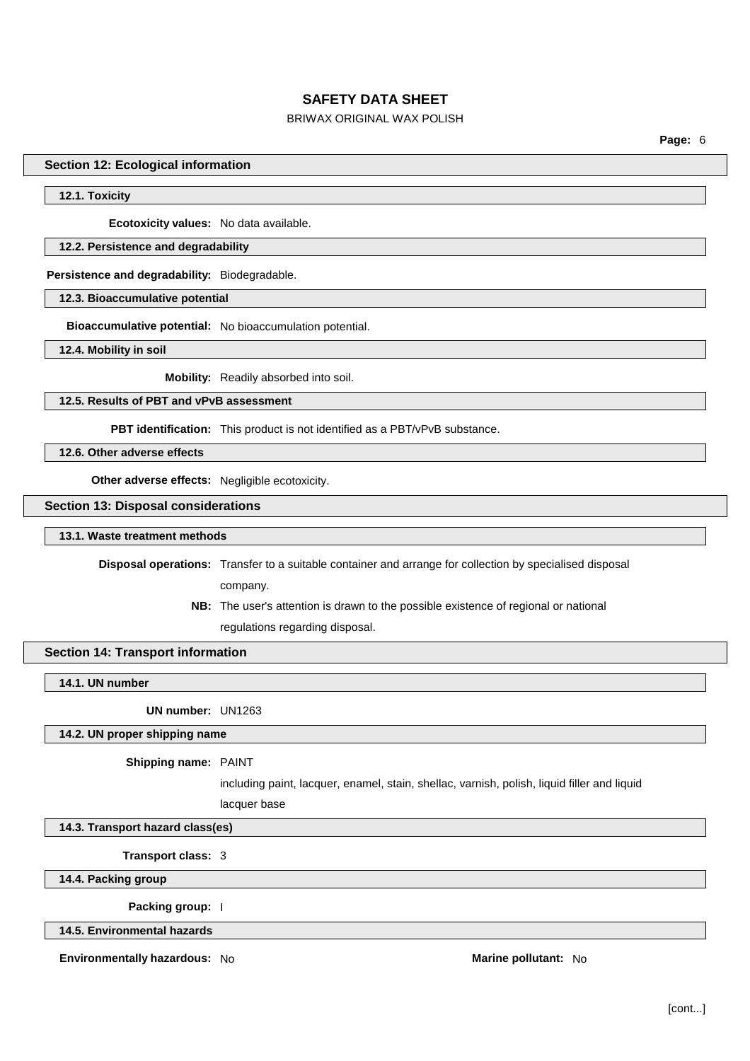### BRIWAX ORIGINAL WAX POLISH

**Page:** 6

#### **Section 12: Ecological information**

### **12.1. Toxicity**

**Ecotoxicity values:** No data available.

#### **12.2. Persistence and degradability**

**Persistence and degradability:** Biodegradable.

**12.3. Bioaccumulative potential**

**Bioaccumulative potential:** No bioaccumulation potential.

**12.4. Mobility in soil**

**Mobility:** Readily absorbed into soil.

**12.5. Results of PBT and vPvB assessment**

**PBT identification:** This product is not identified as a PBT/vPvB substance.

**12.6. Other adverse effects**

**Other adverse effects:** Negligible ecotoxicity.

**Section 13: Disposal considerations**

#### **13.1. Waste treatment methods**

**Disposal operations:** Transfer to a suitable container and arrange for collection by specialised disposal

company.

**NB:** The user's attention is drawn to the possible existence of regional or national regulations regarding disposal.

### **Section 14: Transport information**

**14.1. UN number**

**UN number:** UN1263

#### **14.2. UN proper shipping name**

#### **Shipping name:** PAINT

including paint, lacquer, enamel, stain, shellac, varnish, polish, liquid filler and liquid

lacquer base

**14.3. Transport hazard class(es)**

**Transport class:** 3

**14.4. Packing group**

**Packing group:** I

**14.5. Environmental hazards**

**Environmentally hazardous:** No **Marine Marine Marine Marine Marine Marine Marine Marine Marine Marine**